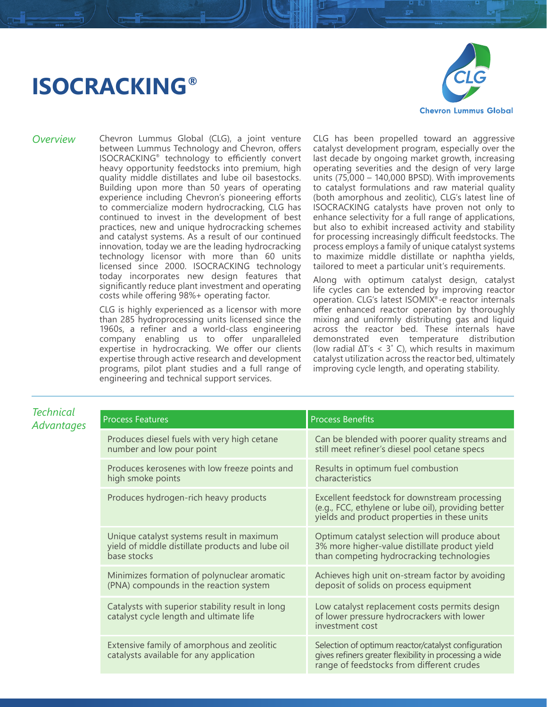## **ISOCRACKING®**



*Overview* Chevron Lummus Global (CLG), a joint venture between Lummus Technology and Chevron, offers ISOCRACKING® technology to efficiently convert heavy opportunity feedstocks into premium, high quality middle distillates and lube oil basestocks. Building upon more than 50 years of operating experience including Chevron's pioneering efforts to commercialize modern hydrocracking, CLG has continued to invest in the development of best practices, new and unique hydrocracking schemes and catalyst systems. As a result of our continued innovation, today we are the leading hydrocracking technology licensor with more than 60 units licensed since 2000. ISOCRACKING technology today incorporates new design features that significantly reduce plant investment and operating costs while offering 98%+ operating factor.

> CLG is highly experienced as a licensor with more than 285 hydroprocessing units licensed since the 1960s, a refiner and a world-class engineering company enabling us to offer unparalleled expertise in hydrocracking. We offer our clients expertise through active research and development programs, pilot plant studies and a full range of engineering and technical support services.

CLG has been propelled toward an aggressive catalyst development program, especially over the last decade by ongoing market growth, increasing operating severities and the design of very large units (75,000 – 140,000 BPSD). With improvements to catalyst formulations and raw material quality (both amorphous and zeolitic), CLG's latest line of ISOCRACKING catalysts have proven not only to enhance selectivity for a full range of applications, but also to exhibit increased activity and stability for processing increasingly difficult feedstocks. The process employs a family of unique catalyst systems to maximize middle distillate or naphtha yields, tailored to meet a particular unit's requirements.

Along with optimum catalyst design, catalyst life cycles can be extended by improving reactor operation. CLG's latest ISOMIX®-e reactor internals offer enhanced reactor operation by thoroughly mixing and uniformly distributing gas and liquid across the reactor bed. These internals have demonstrated even temperature distribution (low radial  $\Delta T$ 's < 3° C), which results in maximum catalyst utilization across the reactor bed, ultimately improving cycle length, and operating stability.

| Technical<br><b>Advantages</b> | <b>Process Features</b>                                                                                      | <b>Process Benefits</b>                                                                                                                                     |
|--------------------------------|--------------------------------------------------------------------------------------------------------------|-------------------------------------------------------------------------------------------------------------------------------------------------------------|
|                                | Produces diesel fuels with very high cetane<br>number and low pour point                                     | Can be blended with poorer quality streams and<br>still meet refiner's diesel pool cetane specs                                                             |
|                                | Produces kerosenes with low freeze points and<br>high smoke points                                           | Results in optimum fuel combustion<br>characteristics                                                                                                       |
|                                | Produces hydrogen-rich heavy products                                                                        | Excellent feedstock for downstream processing<br>(e.g., FCC, ethylene or lube oil), providing better<br>yields and product properties in these units        |
|                                | Unique catalyst systems result in maximum<br>yield of middle distillate products and lube oil<br>base stocks | Optimum catalyst selection will produce about<br>3% more higher-value distillate product yield<br>than competing hydrocracking technologies                 |
|                                | Minimizes formation of polynuclear aromatic<br>(PNA) compounds in the reaction system                        | Achieves high unit on-stream factor by avoiding<br>deposit of solids on process equipment                                                                   |
|                                | Catalysts with superior stability result in long<br>catalyst cycle length and ultimate life                  | Low catalyst replacement costs permits design<br>of lower pressure hydrocrackers with lower<br>investment cost                                              |
|                                | Extensive family of amorphous and zeolitic<br>catalysts available for any application                        | Selection of optimum reactor/catalyst configuration<br>gives refiners greater flexibility in processing a wide<br>range of feedstocks from different crudes |